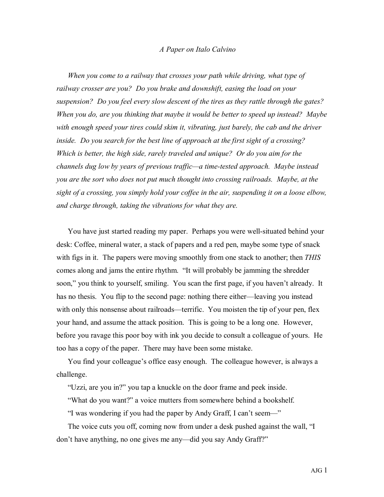## *A Paper on Italo Calvino*

*When you come to a railway that crosses your path while driving, what type of railway crosser are you? Do you brake and downshift, easing the load on your suspension? Do you feel every slow descent of the tires as they rattle through the gates? When you do, are you thinking that maybe it would be better to speed up instead? Maybe with enough speed your tires could skim it, vibrating, just barely, the cab and the driver inside. Do you search for the best line of approach at the first sight of a crossing? Which is better, the high side, rarely traveled and unique? Or do you aim for the channels dug low by years of previous traffic—a time-tested approach. Maybe instead you are the sort who does not put much thought into crossing railroads. Maybe, at the sight of a crossing, you simply hold your coffee in the air, suspending it on a loose elbow, and charge through, taking the vibrations for what they are.*

You have just started reading my paper. Perhaps you were well-situated behind your desk: Coffee, mineral water, a stack of papers and a red pen, maybe some type of snack with figs in it. The papers were moving smoothly from one stack to another; then *THIS* comes along and jams the entire rhythm. "It will probably be jamming the shredder soon," you think to yourself, smiling. You scan the first page, if you haven't already. It has no thesis. You flip to the second page: nothing there either—leaving you instead with only this nonsense about railroads—terrific. You moisten the tip of your pen, flex your hand, and assume the attack position. This is going to be a long one. However, before you ravage this poor boy with ink you decide to consult a colleague of yours. He too has a copy of the paper. There may have been some mistake.

You find your colleague's office easy enough. The colleague however, is always a challenge.

"Uzzi, are you in?" you tap a knuckle on the door frame and peek inside.

"What do you want?" a voice mutters from somewhere behind a bookshelf.

"I was wondering if you had the paper by Andy Graff, I can't seem—"

The voice cuts you off, coming now from under a desk pushed against the wall, "I don't have anything, no one gives me any—did you say Andy Graff?"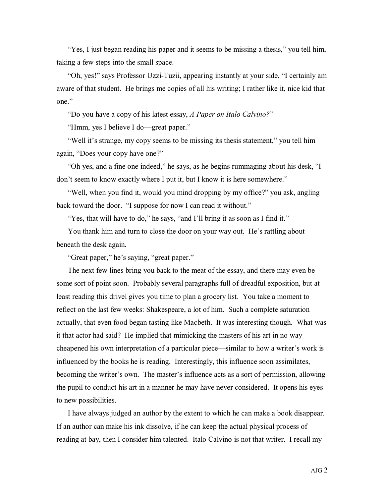"Yes, I just began reading his paper and it seems to be missing a thesis," you tell him, taking a few steps into the small space.

"Oh, yes!" says Professor Uzzi-Tuzii, appearing instantly at your side, "I certainly am aware of that student. He brings me copies of all his writing; I rather like it, nice kid that one"

"Do you have a copy of his latest essay, *A Paper on Italo Calvino?*"

"Hmm, yes I believe I do—great paper."

"Well it's strange, my copy seems to be missing its thesis statement," you tell him again, "Does your copy have one?"

"Oh yes, and a fine one indeed," he says, as he begins rummaging about his desk, "I don't seem to know exactly where I put it, but I know it is here somewhere."

"Well, when you find it, would you mind dropping by my office?" you ask, angling back toward the door. "I suppose for now I can read it without."

"Yes, that will have to do," he says, "and I'll bring it as soon as I find it."

You thank him and turn to close the door on your way out. He's rattling about beneath the desk again.

"Great paper," he's saying, "great paper."

The next few lines bring you back to the meat of the essay, and there may even be some sort of point soon. Probably several paragraphs full of dreadful exposition, but at least reading this drivel gives you time to plan a grocery list. You take a moment to reflect on the last few weeks: Shakespeare, a lot of him. Such a complete saturation actually, that even food began tasting like Macbeth. It was interesting though. What was it that actor had said? He implied that mimicking the masters of his art in no way cheapened his own interpretation of a particular piece—similar to how a writer's work is influenced by the books he is reading. Interestingly, this influence soon assimilates, becoming the writer's own. The master's influence acts as a sort of permission, allowing the pupil to conduct his art in a manner he may have never considered. It opens his eyes to new possibilities.

I have always judged an author by the extent to which he can make a book disappear. If an author can make his ink dissolve, if he can keep the actual physical process of reading at bay, then Iconsider him talented. Italo Calvino is not that writer. I recall my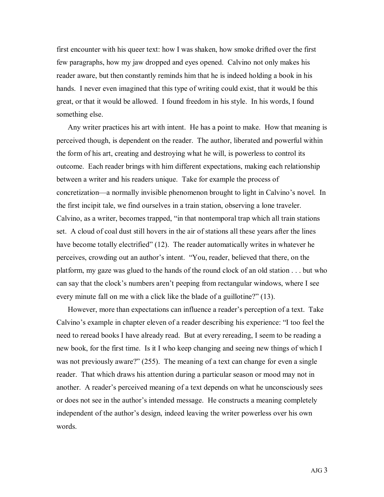first encounter with his queer text: how I was shaken, how smoke drifted over the first few paragraphs, how my jaw dropped and eyes opened. Calvino not only makes his reader aware, but then constantly reminds him that he is indeed holding a book in his hands. I never even imagined that this type of writing could exist, that it would be this great, or that it would be allowed. I found freedom in his style. In his words, I found something else.

Any writer practices his art with intent. He has a point to make. How that meaning is perceived though, is dependent on the reader. The author, liberated and powerful within the form of his art, creating and destroying what he will, is powerless to control its outcome. Each reader brings with him different expectations, making each relationship between a writer and his readers unique. Take for example the process of concretization—a normally invisible phenomenon brought to light in Calvino's novel. In the first incipit tale, we find ourselves in a train station, observing a lone traveler. Calvino, as a writer, becomes trapped, "in that nontemporal trap which all train stations set. A cloud of coal dust still hovers in the air of stations all these years after the lines have become totally electrified" (12). The reader automatically writes in whatever he perceives, crowding out an author's intent. "You, reader, believed that there, on the platform, my gaze was glued to the hands of the round clock of an old station . . . but who can say that the clock's numbers aren't peeping from rectangular windows, where I see every minute fall on me with a click like the blade of a guillotine?" (13).

However, more than expectations can influence a reader's perception of a text. Take Calvino's example in chapter eleven of a reader describing his experience: "I too feel the need to reread books I have already read. But at every rereading, I seem to be reading a new book, for the first time. Is it I who keep changing and seeing new things of which I was not previously aware?" (255). The meaning of a text can change for even a single reader. That which draws his attention during a particular season or mood may not in another. A reader's perceived meaning of a text depends on what he unconsciously sees or does not see in the author's intended message. He constructs a meaning completely independent of the author's design, indeed leaving the writer powerless over his own words.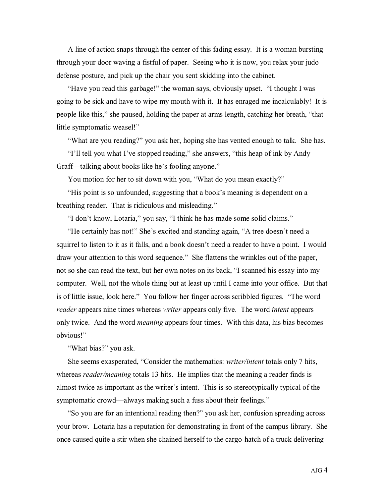A line of action snaps through the center of this fading essay. It is a woman bursting through your door waving a fistful of paper. Seeing who it is now, you relax your judo defense posture, and pick up the chair you sent skidding into the cabinet.

"Have you read this garbage!" the woman says, obviously upset. "I thought I was going to be sick and have to wipe my mouth with it. It has enraged me incalculably! It is people like this," she paused, holding the paper at arms length, catching her breath, "that little symptomatic weasel!"

"What are you reading?" you ask her, hoping she has vented enough to talk. She has.

"I'll tell you what I've stopped reading," she answers, "this heap of ink by Andy Graff—talking about books like he's fooling anyone."

You motion for her to sit down with you, "What do you mean exactly?"

"His point is so unfounded, suggesting that a book's meaning is dependent on a breathing reader. That is ridiculous and misleading."

"I don't know, Lotaria," you say, "I think he has made some solid claims."

"He certainly has not!" She's excited and standing again, "A tree doesn't need a squirrel to listen to it as it falls, and a book doesn't need a reader to have a point. I would draw your attention to this word sequence." She flattens the wrinkles out of the paper, not so she can read the text, but her own notes on its back, "I scanned his essay into my computer. Well, not the whole thing but at least up until I came into your office. But that is of little issue, look here." You follow her finger across scribbled figures. "The word *reader* appears nine times whereas *writer* appears only five. The word *intent* appears only twice. And the word *meaning* appears four times. With this data, his bias becomes obvious!"

"What bias?" you ask.

She seems exasperated, "Consider the mathematics: *writer/intent* totals only 7 hits, whereas *reader/meaning* totals 13 hits. He implies that the meaning a reader finds is almost twice as important as the writer's intent. This is so stereotypically typical of the symptomatic crowd—always making such a fuss about their feelings."

"So you are for an intentional reading then?" you ask her, confusion spreading across your brow. Lotaria has a reputation for demonstrating in front of the campus library. She once caused quite a stir when she chained herself to the cargo-hatch of a truck delivering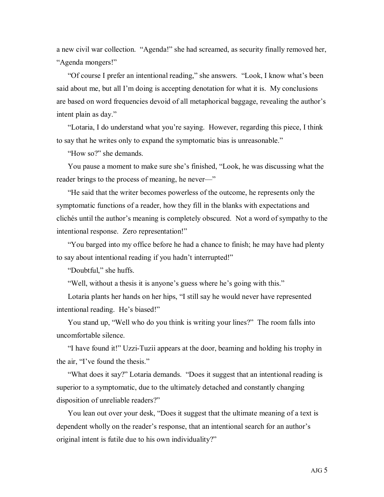a new civil war collection. "Agenda!" she had screamed, as security finally removed her, "Agenda mongers!"

"Of course I prefer an intentional reading," she answers. "Look, I know what's been said about me, but all I'm doing is accepting denotation for what it is. My conclusions are based on word frequencies devoid of all metaphorical baggage, revealing the author's intent plain as day."

"Lotaria, I do understand what you're saying. However, regarding this piece, I think to say that he writes only to expand the symptomatic bias is unreasonable."

"How so?" she demands.

You pause a moment to make sure she's finished, "Look, he was discussing what the reader brings to the process of meaning, he never—"

"He said that the writer becomes powerless of the outcome, he represents only the symptomatic functions of a reader, how they fill in the blanks with expectations and clichés until the author's meaning is completely obscured. Not a word of sympathy to the intentional response. Zero representation!"

"You barged into my office before he had a chance to finish; he may have had plenty to say about intentional reading if you hadn't interrupted!"

"Doubtful," she huffs.

"Well, without a thesis it is anyone's guess where he's going with this."

Lotaria plants her hands on her hips, "I still say he would never have represented intentional reading. He's biased!"

You stand up, "Well who do you think is writing your lines?" The room falls into uncomfortable silence.

"I have found it!" Uzzi-Tuzii appears at the door, beaming and holding his trophy in the air, "I've found the thesis."

"What does it say?" Lotaria demands. "Does it suggest that an intentional reading is superior to a symptomatic, due to the ultimately detached and constantly changing disposition of unreliable readers?"

You lean out over your desk, "Does it suggest that the ultimate meaning of a text is dependent wholly on the reader's response, that an intentional search for an author's original intent is futile due to his own individuality?"